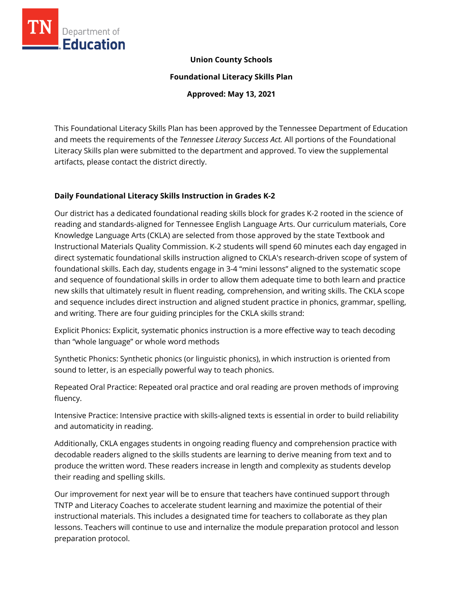

### **Union County Schools**

**Foundational Literacy Skills Plan**

**Approved: May 13, 2021**

This Foundational Literacy Skills Plan has been approved by the Tennessee Department of Education and meets the requirements of the *Tennessee Literacy Success Act.* All portions of the Foundational Literacy Skills plan were submitted to the department and approved. To view the supplemental artifacts, please contact the district directly.

### **Daily Foundational Literacy Skills Instruction in Grades K-2**

Our district has a dedicated foundational reading skills block for grades K-2 rooted in the science of reading and standards-aligned for Tennessee English Language Arts. Our curriculum materials, Core Knowledge Language Arts (CKLA) are selected from those approved by the state Textbook and Instructional Materials Quality Commission. K-2 students will spend 60 minutes each day engaged in direct systematic foundational skills instruction aligned to CKLA's research-driven scope of system of foundational skills. Each day, students engage in 3-4 "mini lessons" aligned to the systematic scope and sequence of foundational skills in order to allow them adequate time to both learn and practice new skills that ultimately result in fluent reading, comprehension, and writing skills. The CKLA scope and sequence includes direct instruction and aligned student practice in phonics, grammar, spelling, and writing. There are four guiding principles for the CKLA skills strand:

Explicit Phonics: Explicit, systematic phonics instruction is a more effective way to teach decoding than "whole language" or whole word methods

Synthetic Phonics: Synthetic phonics (or linguistic phonics), in which instruction is oriented from sound to letter, is an especially powerful way to teach phonics.

Repeated Oral Practice: Repeated oral practice and oral reading are proven methods of improving fluency.

Intensive Practice: Intensive practice with skills-aligned texts is essential in order to build reliability and automaticity in reading.

Additionally, CKLA engages students in ongoing reading fluency and comprehension practice with decodable readers aligned to the skills students are learning to derive meaning from text and to produce the written word. These readers increase in length and complexity as students develop their reading and spelling skills.

Our improvement for next year will be to ensure that teachers have continued support through TNTP and Literacy Coaches to accelerate student learning and maximize the potential of their instructional materials. This includes a designated time for teachers to collaborate as they plan lessons. Teachers will continue to use and internalize the module preparation protocol and lesson preparation protocol.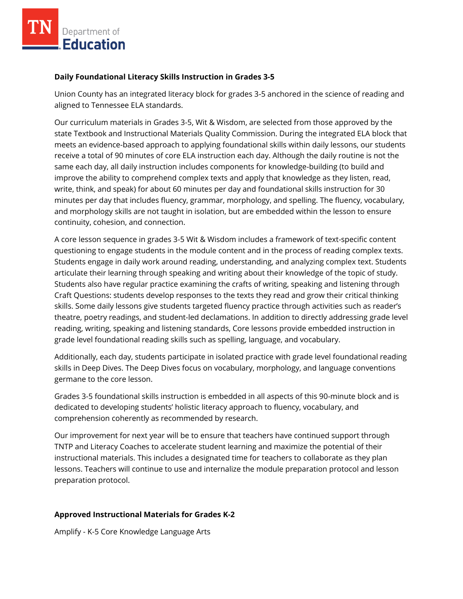### **Daily Foundational Literacy Skills Instruction in Grades 3-5**

Union County has an integrated literacy block for grades 3-5 anchored in the science of reading and aligned to Tennessee ELA standards.

Our curriculum materials in Grades 3-5, Wit & Wisdom, are selected from those approved by the state Textbook and Instructional Materials Quality Commission. During the integrated ELA block that meets an evidence-based approach to applying foundational skills within daily lessons, our students receive a total of 90 minutes of core ELA instruction each day. Although the daily routine is not the same each day, all daily instruction includes components for knowledge-building (to build and improve the ability to comprehend complex texts and apply that knowledge as they listen, read, write, think, and speak) for about 60 minutes per day and foundational skills instruction for 30 minutes per day that includes fluency, grammar, morphology, and spelling. The fluency, vocabulary, and morphology skills are not taught in isolation, but are embedded within the lesson to ensure continuity, cohesion, and connection.

A core lesson sequence in grades 3-5 Wit & Wisdom includes a framework of text-specific content questioning to engage students in the module content and in the process of reading complex texts. Students engage in daily work around reading, understanding, and analyzing complex text. Students articulate their learning through speaking and writing about their knowledge of the topic of study. Students also have regular practice examining the crafts of writing, speaking and listening through Craft Questions: students develop responses to the texts they read and grow their critical thinking skills. Some daily lessons give students targeted fluency practice through activities such as reader's theatre, poetry readings, and student-led declamations. In addition to directly addressing grade level reading, writing, speaking and listening standards, Core lessons provide embedded instruction in grade level foundational reading skills such as spelling, language, and vocabulary.

Additionally, each day, students participate in isolated practice with grade level foundational reading skills in Deep Dives. The Deep Dives focus on vocabulary, morphology, and language conventions germane to the core lesson.

Grades 3-5 foundational skills instruction is embedded in all aspects of this 90-minute block and is dedicated to developing students' holistic literacy approach to fluency, vocabulary, and comprehension coherently as recommended by research.

Our improvement for next year will be to ensure that teachers have continued support through TNTP and Literacy Coaches to accelerate student learning and maximize the potential of their instructional materials. This includes a designated time for teachers to collaborate as they plan lessons. Teachers will continue to use and internalize the module preparation protocol and lesson preparation protocol.

# **Approved Instructional Materials for Grades K-2**

Amplify - K-5 Core Knowledge Language Arts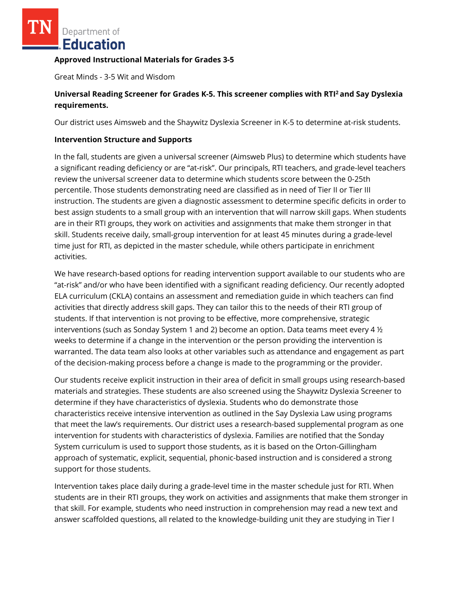#### **Approved Instructional Materials for Grades 3-5**

Great Minds - 3-5 Wit and Wisdom

# **Universal Reading Screener for Grades K-5. This screener complies with RTI<sup>2</sup>and Say Dyslexia requirements.**

Our district uses Aimsweb and the Shaywitz Dyslexia Screener in K-5 to determine at-risk students.

### **Intervention Structure and Supports**

In the fall, students are given a universal screener (Aimsweb Plus) to determine which students have a significant reading deficiency or are "at-risk". Our principals, RTI teachers, and grade-level teachers review the universal screener data to determine which students score between the 0-25th percentile. Those students demonstrating need are classified as in need of Tier II or Tier III instruction. The students are given a diagnostic assessment to determine specific deficits in order to best assign students to a small group with an intervention that will narrow skill gaps. When students are in their RTI groups, they work on activities and assignments that make them stronger in that skill. Students receive daily, small-group intervention for at least 45 minutes during a grade-level time just for RTI, as depicted in the master schedule, while others participate in enrichment activities.

We have research-based options for reading intervention support available to our students who are "at-risk" and/or who have been identified with a significant reading deficiency. Our recently adopted ELA curriculum (CKLA) contains an assessment and remediation guide in which teachers can find activities that directly address skill gaps. They can tailor this to the needs of their RTI group of students. If that intervention is not proving to be effective, more comprehensive, strategic interventions (such as Sonday System 1 and 2) become an option. Data teams meet every 4 ½ weeks to determine if a change in the intervention or the person providing the intervention is warranted. The data team also looks at other variables such as attendance and engagement as part of the decision-making process before a change is made to the programming or the provider.

Our students receive explicit instruction in their area of deficit in small groups using research-based materials and strategies. These students are also screened using the Shaywitz Dyslexia Screener to determine if they have characteristics of dyslexia. Students who do demonstrate those characteristics receive intensive intervention as outlined in the Say Dyslexia Law using programs that meet the law's requirements. Our district uses a research-based supplemental program as one intervention for students with characteristics of dyslexia. Families are notified that the Sonday System curriculum is used to support those students, as it is based on the Orton-Gillingham approach of systematic, explicit, sequential, phonic-based instruction and is considered a strong support for those students.

Intervention takes place daily during a grade-level time in the master schedule just for RTI. When students are in their RTI groups, they work on activities and assignments that make them stronger in that skill. For example, students who need instruction in comprehension may read a new text and answer scaffolded questions, all related to the knowledge-building unit they are studying in Tier I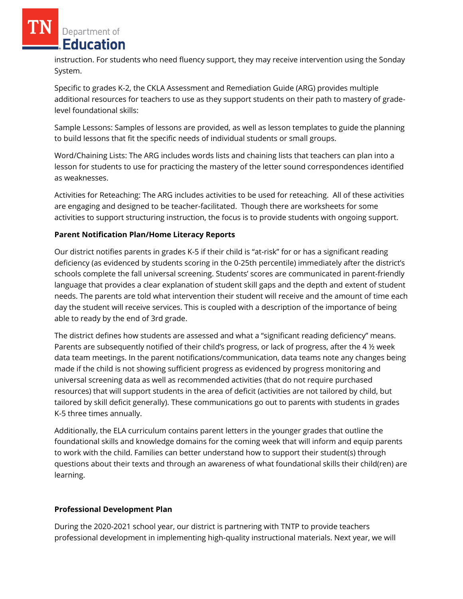instruction. For students who need fluency support, they may receive intervention using the Sonday System.

Specific to grades K-2, the CKLA Assessment and Remediation Guide (ARG) provides multiple additional resources for teachers to use as they support students on their path to mastery of gradelevel foundational skills:

Sample Lessons: Samples of lessons are provided, as well as lesson templates to guide the planning to build lessons that fit the specific needs of individual students or small groups.

Word/Chaining Lists: The ARG includes words lists and chaining lists that teachers can plan into a lesson for students to use for practicing the mastery of the letter sound correspondences identified as weaknesses.

Activities for Reteaching: The ARG includes activities to be used for reteaching. All of these activities are engaging and designed to be teacher-facilitated. Though there are worksheets for some activities to support structuring instruction, the focus is to provide students with ongoing support.

### **Parent Notification Plan/Home Literacy Reports**

Our district notifies parents in grades K-5 if their child is "at-risk" for or has a significant reading deficiency (as evidenced by students scoring in the 0-25th percentile) immediately after the district's schools complete the fall universal screening. Students' scores are communicated in parent-friendly language that provides a clear explanation of student skill gaps and the depth and extent of student needs. The parents are told what intervention their student will receive and the amount of time each day the student will receive services. This is coupled with a description of the importance of being able to ready by the end of 3rd grade.

The district defines how students are assessed and what a "significant reading deficiency" means. Parents are subsequently notified of their child's progress, or lack of progress, after the 4 ½ week data team meetings. In the parent notifications/communication, data teams note any changes being made if the child is not showing sufficient progress as evidenced by progress monitoring and universal screening data as well as recommended activities (that do not require purchased resources) that will support students in the area of deficit (activities are not tailored by child, but tailored by skill deficit generally). These communications go out to parents with students in grades K-5 three times annually.

Additionally, the ELA curriculum contains parent letters in the younger grades that outline the foundational skills and knowledge domains for the coming week that will inform and equip parents to work with the child. Families can better understand how to support their student(s) through questions about their texts and through an awareness of what foundational skills their child(ren) are learning.

# **Professional Development Plan**

During the 2020-2021 school year, our district is partnering with TNTP to provide teachers professional development in implementing high-quality instructional materials. Next year, we will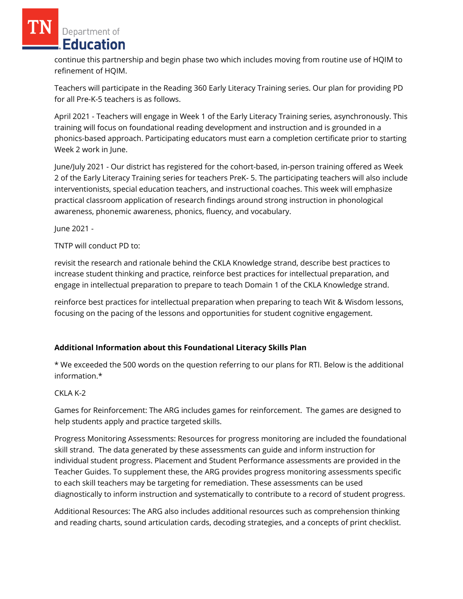continue this partnership and begin phase two which includes moving from routine use of HQIM to refinement of HQIM.

Teachers will participate in the Reading 360 Early Literacy Training series. Our plan for providing PD for all Pre-K-5 teachers is as follows.

April 2021 - Teachers will engage in Week 1 of the Early Literacy Training series, asynchronously. This training will focus on foundational reading development and instruction and is grounded in a phonics-based approach. Participating educators must earn a completion certificate prior to starting Week 2 work in June.

June/July 2021 - Our district has registered for the cohort-based, in-person training offered as Week 2 of the Early Literacy Training series for teachers PreK- 5. The participating teachers will also include interventionists, special education teachers, and instructional coaches. This week will emphasize practical classroom application of research findings around strong instruction in phonological awareness, phonemic awareness, phonics, fluency, and vocabulary.

June 2021 -

TNTP will conduct PD to:

revisit the research and rationale behind the CKLA Knowledge strand, describe best practices to increase student thinking and practice, reinforce best practices for intellectual preparation, and engage in intellectual preparation to prepare to teach Domain 1 of the CKLA Knowledge strand.

reinforce best practices for intellectual preparation when preparing to teach Wit & Wisdom lessons, focusing on the pacing of the lessons and opportunities for student cognitive engagement.

# **Additional Information about this Foundational Literacy Skills Plan**

\* We exceeded the 500 words on the question referring to our plans for RTI. Below is the additional information.\*

# CKLA K-2

Games for Reinforcement: The ARG includes games for reinforcement. The games are designed to help students apply and practice targeted skills.

Progress Monitoring Assessments: Resources for progress monitoring are included the foundational skill strand. The data generated by these assessments can guide and inform instruction for individual student progress. Placement and Student Performance assessments are provided in the Teacher Guides. To supplement these, the ARG provides progress monitoring assessments specific to each skill teachers may be targeting for remediation. These assessments can be used diagnostically to inform instruction and systematically to contribute to a record of student progress.

Additional Resources: The ARG also includes additional resources such as comprehension thinking and reading charts, sound articulation cards, decoding strategies, and a concepts of print checklist.